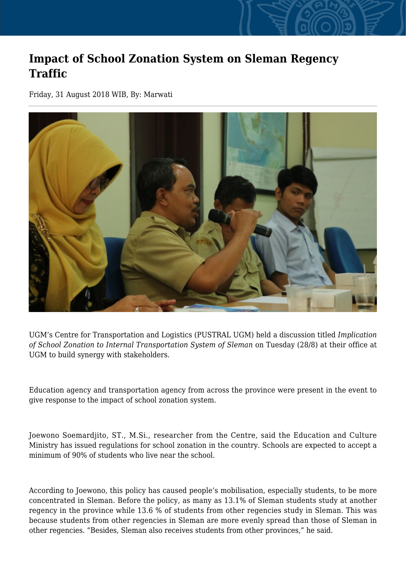## **Impact of School Zonation System on Sleman Regency Traffic**

Friday, 31 August 2018 WIB, By: Marwati



UGM's Centre for Transportation and Logistics (PUSTRAL UGM) held a discussion titled *Implication of School Zonation to Internal Transportation System of Sleman* on Tuesday (28/8) at their office at UGM to build synergy with stakeholders.

Education agency and transportation agency from across the province were present in the event to give response to the impact of school zonation system.

Joewono Soemardjito, ST., M.Si., researcher from the Centre, said the Education and Culture Ministry has issued regulations for school zonation in the country. Schools are expected to accept a minimum of 90% of students who live near the school

According to Joewono, this policy has caused people's mobilisation, especially students, to be more concentrated in Sleman. Before the policy, as many as 13.1% of Sleman students study at another regency in the province while 13.6 % of students from other regencies study in Sleman. This was because students from other regencies in Sleman are more evenly spread than those of Sleman in other regencies. "Besides, Sleman also receives students from other provinces," he said.